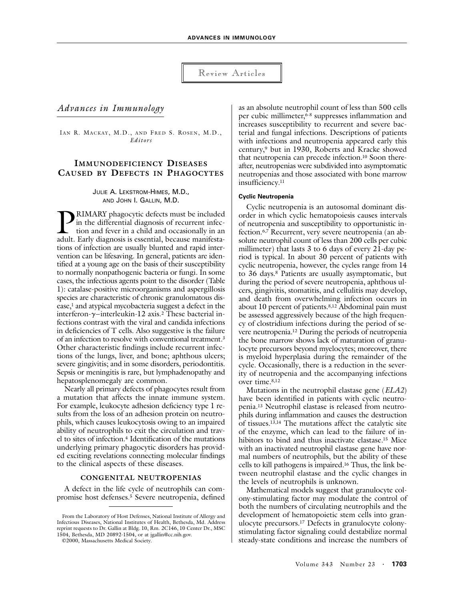## Review Articles

# *Advances in Immunology*

IAN R. MACKAY, M.D., AND FRED S. ROSEN, M.D., *Editors*

# **IMMUNODEFICIENCY DISEASES CAUSED BY DEFECTS IN PHAGOCYTES**

JULIE A. LEKSTROM-HIMES, M.D., AND JOHN I. GALLIN, M.D.

RIMARY phagocytic defects must be included in the differential diagnosis of recurrent infection and fever in a child and occasionally in an **AMARY** phagocytic defects must be included in the differential diagnosis of recurrent infection and fever in a child and occasionally in an adult. Early diagnosis is essential, because manifestations of infection are usually blunted and rapid intervention can be lifesaving. In general, patients are identified at a young age on the basis of their susceptibility to normally nonpathogenic bacteria or fungi. In some cases, the infectious agents point to the disorder (Table 1): catalase-positive microorganisms and aspergillosis species are characteristic of chronic granulomatous disease,<sup>1</sup> and atypical mycobacteria suggest a defect in the interferon-*g*–interleukin-12 axis.2 These bacterial infections contrast with the viral and candida infections in deficiencies of T cells. Also suggestive is the failure of an infection to resolve with conventional treatment.3 Other characteristic findings include recurrent infections of the lungs, liver, and bone; aphthous ulcers; severe gingivitis; and in some disorders, periodontitis. Sepsis or meningitis is rare, but lymphadenopathy and hepatosplenomegaly are common.

Nearly all primary defects of phagocytes result from a mutation that affects the innate immune system. For example, leukocyte adhesion deficiency type 1 results from the loss of an adhesion protein on neutrophils, which causes leukocytosis owing to an impaired ability of neutrophils to exit the circulation and travel to sites of infection.4 Identification of the mutations underlying primary phagocytic disorders has provided exciting revelations connecting molecular findings to the clinical aspects of these diseases.

### **CONGENITAL NEUTROPENIAS**

A defect in the life cycle of neutrophils can compromise host defenses.5 Severe neutropenia, defined

©2000, Massachusetts Medical Society.

as an absolute neutrophil count of less than 500 cells per cubic millimeter,<sup>6-8</sup> suppresses inflammation and increases susceptibility to recurrent and severe bacterial and fungal infections. Descriptions of patients with infections and neutropenia appeared early this century,9 but in 1930, Roberts and Kracke showed that neutropenia can precede infection.10 Soon thereafter, neutropenias were subdivided into asymptomatic neutropenias and those associated with bone marrow insufficiency.11

#### **Cyclic Neutropenia**

Cyclic neutropenia is an autosomal dominant disorder in which cyclic hematopoiesis causes intervals of neutropenia and susceptibility to opportunistic infection.6,7 Recurrent, very severe neutropenia (an absolute neutrophil count of less than 200 cells per cubic millimeter) that lasts 3 to 6 days of every 21-day period is typical. In about 30 percent of patients with cyclic neutropenia, however, the cycles range from 14 to 36 days.8 Patients are usually asymptomatic, but during the period of severe neutropenia, aphthous ulcers, gingivitis, stomatitis, and cellulitis may develop, and death from overwhelming infection occurs in about 10 percent of patients.8,12 Abdominal pain must be assessed aggressively because of the high frequency of clostridium infections during the period of severe neutropenia.12 During the periods of neutropenia the bone marrow shows lack of maturation of granulocyte precursors beyond myelocytes; moreover, there is myeloid hyperplasia during the remainder of the cycle. Occasionally, there is a reduction in the severity of neutropenia and the accompanying infections over time.8,12

Mutations in the neutrophil elastase gene (*ELA2*) have been identified in patients with cyclic neutropenia.13 Neutrophil elastase is released from neutrophils during inflammation and causes the destruction of tissues.13,14 The mutations affect the catalytic site of the enzyme, which can lead to the failure of inhibitors to bind and thus inactivate elastase.15 Mice with an inactivated neutrophil elastase gene have normal numbers of neutrophils, but the ability of these cells to kill pathogens is impaired.16 Thus, the link between neutrophil elastase and the cyclic changes in the levels of neutrophils is unknown.

Mathematical models suggest that granulocyte colony-stimulating factor may modulate the control of both the numbers of circulating neutrophils and the development of hematopoietic stem cells into granulocyte precursors.17 Defects in granulocyte colonystimulating factor signaling could destabilize normal steady-state conditions and increase the numbers of

From the Laboratory of Host Defenses, National Institute of Allergy and Infectious Diseases, National Institutes of Health, Bethesda, Md. Address reprint requests to Dr. Gallin at Bldg. 10, Rm. 2C146, 10 Center Dr., MSC 1504, Bethesda, MD 20892-1504, or at jgallin@cc.nih.gov.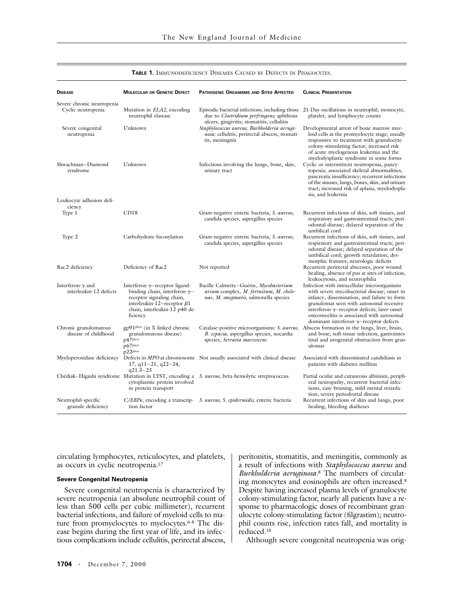| <b>DISEASE</b>                                     | <b>MOLECULAR OR GENETIC DEFECT</b>                                                                                                                                                             | <b>PATHOGENIC ORGANISMS AND SITES AFFECTED</b>                                                                                           | <b>CLINICAL PRESENTATION</b>                                                                                                                                                                                                                                                                                                                  |
|----------------------------------------------------|------------------------------------------------------------------------------------------------------------------------------------------------------------------------------------------------|------------------------------------------------------------------------------------------------------------------------------------------|-----------------------------------------------------------------------------------------------------------------------------------------------------------------------------------------------------------------------------------------------------------------------------------------------------------------------------------------------|
| Severe chronic neutropenia                         |                                                                                                                                                                                                |                                                                                                                                          |                                                                                                                                                                                                                                                                                                                                               |
| Cyclic neutropenia                                 | Mutation in <i>ELA2</i> , encoding<br>neutrophil elastase                                                                                                                                      | Episodic bacterial infections, including those<br>due to Clostridium perfringens; aphthous<br>ulcers; gingivitis; stomatitis; cellulitis | 21-Day oscillations in neutrophil, monocyte,<br>platelet, and lymphocyte counts                                                                                                                                                                                                                                                               |
| Severe congenital<br>neutropenia                   | Unknown                                                                                                                                                                                        | Staphylococcus aureus, Burkholderia aerugi-<br>nosa; cellulitis, perirectal abscess, stomati-<br>tis, meningitis                         | Developmental arrest of bone marrow mye-<br>loid cells at the promyelocyte stage; usually<br>responsive to treatment with granulocyte<br>colony-stimulating factor; increased risk<br>of acute myelogenous leukemia and the<br>myelodysplastic syndrome in some forms                                                                         |
| Shwachman-Diamond<br>syndrome                      | Unknown                                                                                                                                                                                        | Infections involving the lungs, bone, skin,<br>urinary tract                                                                             | Cyclic or intermittent neutropenia, pancy-<br>topenia; associated skeletal abnormalities;<br>pancreatic insufficiency; recurrent infections<br>of the sinuses, lungs, bones, skin, and urinary<br>tract; increased risk of aplasia, myelodyspla-<br>sia, and leukemia                                                                         |
| Leukocyte adhesion defi-<br>ciency                 |                                                                                                                                                                                                |                                                                                                                                          |                                                                                                                                                                                                                                                                                                                                               |
| Type 1                                             | CD18                                                                                                                                                                                           | Gram-negative enteric bacteria, S. aureus,<br>candida species, aspergillus species                                                       | Recurrent infections of skin, soft tissues, and<br>respiratory and gastrointestinal tracts; peri-<br>odontal disease; delayed separation of the<br>umbilical cord                                                                                                                                                                             |
| Type 2                                             | Carbohydrate fucosylation                                                                                                                                                                      | Gram-negative enteric bacteria, S. aureus,<br>candida species, aspergillus species                                                       | Recurrent infections of skin, soft tissues, and<br>respiratory and gastrointestinal tracts; peri-<br>odontal disease; delayed separation of the<br>umbilical cord; growth retardation; dys-<br>morphic features; neurologic deficits                                                                                                          |
| Rac <sub>2</sub> deficiency                        | Deficiency of Rac2                                                                                                                                                                             | Not reported                                                                                                                             | Recurrent perirectal abscesses, poor wound<br>healing, absence of pus at sites of infection,<br>leukocytosis, and neutrophilia                                                                                                                                                                                                                |
| Interferon- $\gamma$ and<br>interleukin-12 defects | Interferon- $\gamma$ -receptor ligand-<br>binding chain, interferon- $\gamma$ -<br>receptor signaling chain,<br>interleukin-12-receptor $\beta$ 1<br>chain, interleukin-12 p40 de-<br>ficiency | Bacille Calmette-Guérin, Mycobacterium<br>avium complex, M. fortuitum, M. chelo-<br>nae, M. smegmatis, salmonella species                | Infection with intracellular microorganisms<br>with severe mycobacterial disease; onset in<br>infancy, dissemination, and failure to form<br>granulomas seen with autosomal recessive<br>interferon- $\gamma$ -receptor defects; later-onset<br>osteomyelitis is associated with autosomal<br>dominant interferon- $\gamma$ -receptor defects |
| Chronic granulomatous<br>disease of childhood      | gp91 <sup>phox</sup> (in X-linked chronic<br>granulomatous disease)<br>$p47$ phox<br>p67phox<br>$p22^{pbox}$                                                                                   | Catalase-positive microorganisms: S. aureus,<br>B. cepacia, aspergillus species, nocardia<br>species, Serratia marcescens                | Abscess formation in the lungs, liver, brain,<br>and bone; soft-tissue infection; gastrointes-<br>tinal and urogenital obstruction from gran-<br>ulomas                                                                                                                                                                                       |
|                                                    | $17, q11-21, q22-24,$<br>$q21.3 - 23$                                                                                                                                                          | Myeloperoxidase deficiency Defects in MPO at chromosome Not usually associated with clinical disease                                     | Associated with disseminated candidiasis in<br>patients with diabetes mellitus                                                                                                                                                                                                                                                                |
|                                                    | cytoplasmic protein involved<br>in protein transport                                                                                                                                           | Chédiak–Higashi syndrome Mutation in LYST, encoding a S. aureus, beta-hemolytic streptococcus                                            | Partial ocular and cutaneous albinism, periph-<br>eral neuropathy, recurrent bacterial infec-<br>tions, easy bruising, mild mental retarda-<br>tion, severe periodontal disease                                                                                                                                                               |
| Neutrophil-specific<br>granule deficiency          | tion factor                                                                                                                                                                                    | $C/EBP\epsilon$ , encoding a transcrip- S. aureus, S. epidermidis, enteric bacteria                                                      | Recurrent infections of skin and lungs, poor<br>healing, bleeding diatheses                                                                                                                                                                                                                                                                   |

#### **TABLE 1.** IMMUNODEFICIENCY DISEASES CAUSED BY DEFECTS IN PHAGOCYTES.

circulating lymphocytes, reticulocytes, and platelets, as occurs in cyclic neutropenia.17

#### **Severe Congenital Neutropenia**

Severe congenital neutropenia is characterized by severe neutropenia (an absolute neutrophil count of less than 500 cells per cubic millimeter), recurrent bacterial infections, and failure of myeloid cells to mature from promyelocytes to myelocytes.<sup>6-8</sup> The disease begins during the first year of life, and its infectious complications include cellulitis, perirectal abscess,

peritonitis, stomatitis, and meningitis, commonly as a result of infections with *Staphylococcus aureus* and *Burkholderia aeruginosa.*8 The numbers of circulating monocytes and eosinophils are often increased.8 Despite having increased plasma levels of granulocyte colony-stimulating factor, nearly all patients have a response to pharmacologic doses of recombinant granulocyte colony-stimulating factor (filgrastim); neutrophil counts rise, infection rates fall, and mortality is reduced.18

Although severe congenital neutropenia was orig-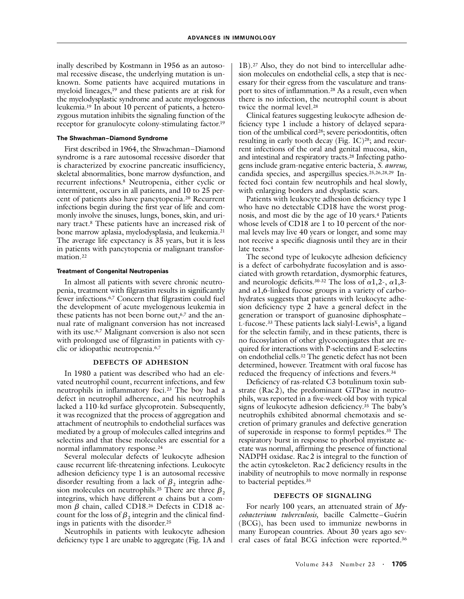inally described by Kostmann in 1956 as an autosomal recessive disease, the underlying mutation is unknown. Some patients have acquired mutations in myeloid lineages,<sup>19</sup> and these patients are at risk for the myelodysplastic syndrome and acute myelogenous leukemia.19 In about 10 percent of patients, a heterozygous mutation inhibits the signaling function of the receptor for granulocyte colony-stimulating factor.19

### **The Shwachman–Diamond Syndrome**

First described in 1964, the Shwachman–Diamond syndrome is a rare autosomal recessive disorder that is characterized by exocrine pancreatic insufficiency, skeletal abnormalities, bone marrow dysfunction, and recurrent infections.8 Neutropenia, either cyclic or intermittent, occurs in all patients, and 10 to 25 percent of patients also have pancytopenia.20 Recurrent infections begin during the first year of life and commonly involve the sinuses, lungs, bones, skin, and urinary tract.8 These patients have an increased risk of bone marrow aplasia, myelodysplasia, and leukemia.21 The average life expectancy is 35 years, but it is less in patients with pancytopenia or malignant transformation.<sup>22</sup>

#### **Treatment of Congenital Neutropenias**

In almost all patients with severe chronic neutropenia, treatment with filgrastim results in significantly fewer infections.6,7 Concern that filgrastim could fuel the development of acute myelogenous leukemia in these patients has not been borne out,<sup>6,7</sup> and the annual rate of malignant conversion has not increased with its use.<sup>6,7</sup> Malignant conversion is also not seen with prolonged use of filgrastim in patients with cyclic or idiopathic neutropenia.6,7

### **DEFECTS OF ADHESION**

In 1980 a patient was described who had an elevated neutrophil count, recurrent infections, and few neutrophils in inflammatory foci.23 The boy had a defect in neutrophil adherence, and his neutrophils lacked a 110-kd surface glycoprotein. Subsequently, it was recognized that the process of aggregation and attachment of neutrophils to endothelial surfaces was mediated by a group of molecules called integrins and selectins and that these molecules are essential for a normal inflammatory response.<sup>24</sup>

Several molecular defects of leukocyte adhesion cause recurrent life-threatening infections. Leukocyte adhesion deficiency type 1 is an autosomal recessive disorder resulting from a lack of  $\beta_2$  integrin adhesion molecules on neutrophils.<sup>25</sup> There are three  $\beta_2$ integrins, which have different  $\alpha$  chains but a common  $\beta$  chain, called CD18.<sup>26</sup> Defects in CD18 account for the loss of  $\beta_2$  integrin and the clinical findings in patients with the disorder.25

Neutrophils in patients with leukocyte adhesion deficiency type 1 are unable to aggregate (Fig. 1A and

1B).27 Also, they do not bind to intercellular adhesion molecules on endothelial cells, a step that is necessary for their egress from the vasculature and transport to sites of inflammation.28 As a result, even when there is no infection, the neutrophil count is about twice the normal level.<sup>28</sup>

Clinical features suggesting leukocyte adhesion deficiency type 1 include a history of delayed separation of the umbilical cord<sup>28</sup>; severe periodontitis, often resulting in early tooth decay (Fig. 1C)<sup>28</sup>; and recurrent infections of the oral and genital mucosa, skin, and intestinal and respiratory tracts.28 Infecting pathogens include gram-negative enteric bacteria, *S. aureus,* candida species, and aspergillus species.25,26,28,29 Infected foci contain few neutrophils and heal slowly, with enlarging borders and dysplastic scars.

Patients with leukocyte adhesion deficiency type 1 who have no detectable CD18 have the worst prognosis, and most die by the age of 10 years.4 Patients whose levels of CD18 are 1 to 10 percent of the normal levels may live 40 years or longer, and some may not receive a specific diagnosis until they are in their late teens.<sup>4</sup>

The second type of leukocyte adhesion deficiency is a defect of carbohydrate fucosylation and is associated with growth retardation, dysmorphic features, and neurologic deficits.<sup>30-32</sup> The loss of  $\alpha$ 1,2-,  $\alpha$ 1,3and  $\alpha$ 1,6-linked fucose groups in a variety of carbohydrates suggests that patients with leukocyte adhesion deficiency type 2 have a general defect in the generation or transport of guanosine diphosphate–  $L$ -fucose.<sup>33</sup> These patients lack sialyl-Lewis<sup>x</sup>, a ligand for the selectin family, and in these patients, there is no fucosylation of other glycoconjugates that are required for interactions with P-selectins and E-selectins on endothelial cells.32 The genetic defect has not been determined, however. Treatment with oral fucose has reduced the frequency of infections and fevers.34

Deficiency of ras-related C3 botulinum toxin substrate (Rac2), the predominant GTPase in neutrophils, was reported in a five-week-old boy with typical signs of leukocyte adhesion deficiency.<sup>35</sup> The baby's neutrophils exhibited abnormal chemotaxis and secretion of primary granules and defective generation of superoxide in response to formyl peptides.35 The respiratory burst in response to phorbol myristate acetate was normal, affirming the presence of functional NADPH oxidase. Rac2 is integral to the function of the actin cytoskeleton. Rac2 deficiency results in the inability of neutrophils to move normally in response to bacterial peptides.35

## **DEFECTS OF SIGNALING**

For nearly 100 years, an attenuated strain of *Mycobacterium tuberculosis,* bacille Calmette–Guérin (BCG), has been used to immunize newborns in many European countries. About 30 years ago several cases of fatal BCG infection were reported.36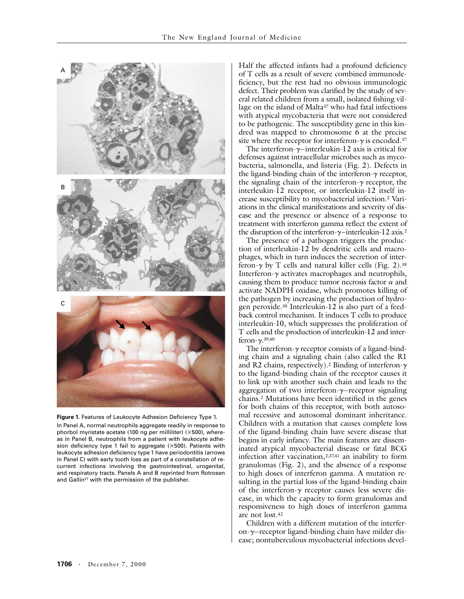

**Figure 1.** Features of Leukocyte Adhesion Deficiency Type 1. In Panel A, normal neutrophils aggregate readily in response to phorbol myristate acetate (100 ng per milliliter) ( $\times$ 500), whereas in Panel B, neutrophils from a patient with leukocyte adhesion deficiency type 1 fail to aggregate  $(\times 500)$ . Patients with leukocyte adhesion deficiency type 1 have periodontitis (arrows in Panel C) with early tooth loss as part of a constellation of recurrent infections involving the gastrointestinal, urogenital, and respiratory tracts. Panels A and B reprinted from Rotrosen and Gallin<sup>27</sup> with the permission of the publisher.

Half the affected infants had a profound deficiency of T cells as a result of severe combined immunodeficiency, but the rest had no obvious immunologic defect. Their problem was clarified by the study of several related children from a small, isolated fishing village on the island of Malta<sup>37</sup> who had fatal infections with atypical mycobacteria that were not considered to be pathogenic. The susceptibility gene in this kindred was mapped to chromosome 6 at the precise site where the receptor for interferon- $\gamma$  is encoded.<sup>37</sup>

The interferon-*g*–interleukin-12 axis is critical for defenses against intracellular microbes such as mycobacteria, salmonella, and listeria (Fig. 2). Defects in the ligand-binding chain of the interferon-*g* receptor, the signaling chain of the interferon- $\gamma$  receptor, the interleukin-12 receptor, or interleukin-12 itself increase susceptibility to mycobacterial infection.2 Variations in the clinical manifestations and severity of disease and the presence or absence of a response to treatment with interferon gamma reflect the extent of the disruption of the interferon-*g*–interleukin-12 axis.2

The presence of a pathogen triggers the production of interleukin-12 by dendritic cells and macrophages, which in turn induces the secretion of interferon- $\gamma$  by T cells and natural killer cells (Fig. 2).<sup>38</sup> Interferon-*g* activates macrophages and neutrophils, causing them to produce tumor necrosis factor  $\alpha$  and activate NADPH oxidase, which promotes killing of the pathogen by increasing the production of hydrogen peroxide.38 Interleukin-12 is also part of a feedback control mechanism. It induces T cells to produce interleukin-10, which suppresses the proliferation of T cells and the production of interleukin-12 and interferon-*g*.39,40

The interferon-*g* receptor consists of a ligand-binding chain and a signaling chain (also called the R1 and R2 chains, respectively).2 Binding of interferon-*g* to the ligand-binding chain of the receptor causes it to link up with another such chain and leads to the aggregation of two interferon-*g*–receptor signaling chains.2 Mutations have been identified in the genes for both chains of this receptor, with both autosomal recessive and autosomal dominant inheritance. Children with a mutation that causes complete loss of the ligand-binding chain have severe disease that begins in early infancy. The main features are disseminated atypical mycobacterial disease or fatal BCG infection after vaccination,2,37,41 an inability to form granulomas (Fig. 2), and the absence of a response to high doses of interferon gamma. A mutation resulting in the partial loss of the ligand-binding chain of the interferon- $\gamma$  receptor causes less severe disease, in which the capacity to form granulomas and responsiveness to high doses of interferon gamma are not lost.42

Children with a different mutation of the interferon-*g*–receptor ligand-binding chain have milder disease; nontuberculous mycobacterial infections devel-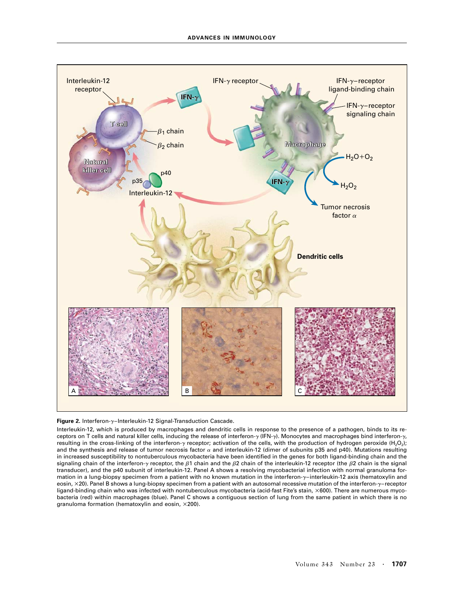

**Figure 2.** Interferon-*g*–Interleukin-12 Signal-Transduction Cascade.

Interleukin-12, which is produced by macrophages and dendritic cells in response to the presence of a pathogen, binds to its receptors on T cells and natural killer cells, inducing the release of interferon-*g* (IFN-*g*). Monocytes and macrophages bind interferon-*g*, resulting in the cross-linking of the interferon- $\gamma$  receptor; activation of the cells, with the production of hydrogen peroxide (H<sub>2</sub>O<sub>2</sub>); and the synthesis and release of tumor necrosis factor *a* and interleukin-12 (dimer of subunits p35 and p40). Mutations resulting in increased susceptibility to nontuberculous mycobacteria have been identified in the genes for both ligand-binding chain and the signaling chain of the interferon- $\gamma$  receptor, the  $\beta$ 1 chain and the  $\beta$ 2 chain of the interleukin-12 receptor (the  $\beta$ 2 chain is the signal transducer), and the p40 subunit of interleukin-12. Panel A shows a resolving mycobacterial infection with normal granuloma formation in a lung-biopsy specimen from a patient with no known mutation in the interferon-*g*–interleukin-12 axis (hematoxylin and eosin, ¬20). Panel B shows a lung-biopsy specimen from a patient with an autosomal recessive mutation of the interferon-*g*–receptor ligand-binding chain who was infected with nontuberculous mycobacteria (acid-fast Fite's stain, ×600). There are numerous mycobacteria (red) within macrophages (blue). Panel C shows a contiguous section of lung from the same patient in which there is no granuloma formation (hematoxylin and eosin,  $\times$ 200).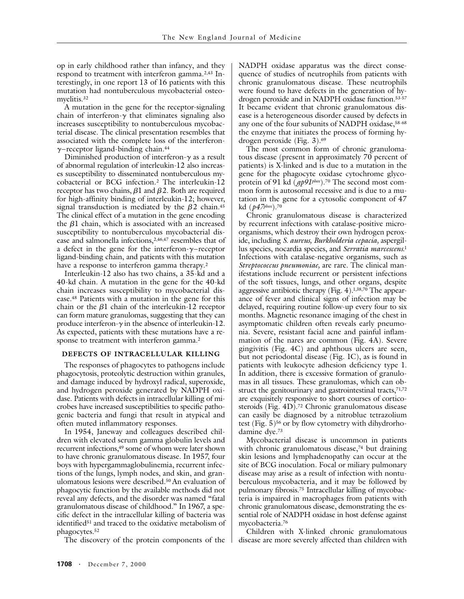op in early childhood rather than infancy, and they respond to treatment with interferon gamma.<sup>2,43</sup> Interestingly, in one report 13 of 16 patients with this mutation had nontuberculous mycobacterial osteomyelitis.32

A mutation in the gene for the receptor-signaling chain of interferon- $\gamma$  that eliminates signaling also increases susceptibility to nontuberculous mycobacterial disease. The clinical presentation resembles that associated with the complete loss of the interferon*g*–receptor ligand-binding chain.44

Diminished production of interferon-*g* as a result of abnormal regulation of interleukin-12 also increases susceptibility to disseminated nontuberculous mycobacterial or BCG infection.2 The interleukin-12 receptor has two chains,  $\beta$ 1 and  $\beta$ 2. Both are required for high-affinity binding of interleukin-12; however, signal transduction is mediated by the  $\beta$ 2 chain.<sup>45</sup> The clinical effect of a mutation in the gene encoding the  $\beta$ 1 chain, which is associated with an increased susceptibility to nontuberculous mycobacterial disease and salmonella infections,2,46,47 resembles that of a defect in the gene for the interferon-*g*–receptor ligand-binding chain, and patients with this mutation have a response to interferon gamma therapy.<sup>2</sup>

Interleukin-12 also has two chains, a 35-kd and a 40-kd chain. A mutation in the gene for the 40-kd chain increases susceptibility to mycobacterial disease.48 Patients with a mutation in the gene for this chain or the  $\beta$ 1 chain of the interleukin-12 receptor can form mature granulomas, suggesting that they can produce interferon- $\gamma$  in the absence of interleukin-12. As expected, patients with these mutations have a response to treatment with interferon gamma.<sup>2</sup>

#### **DEFECTS OF INTRACELLULAR KILLING**

The responses of phagocytes to pathogens include phagocytosis, proteolytic destruction within granules, and damage induced by hydroxyl radical, superoxide, and hydrogen peroxide generated by NADPH oxidase. Patients with defects in intracellular killing of microbes have increased susceptibilities to specific pathogenic bacteria and fungi that result in atypical and often muted inflammatory responses.

In 1954, Janeway and colleagues described children with elevated serum gamma globulin levels and recurrent infections,<sup>49</sup> some of whom were later shown to have chronic granulomatous disease. In 1957, four boys with hypergammaglobulinemia, recurrent infections of the lungs, lymph nodes, and skin, and granulomatous lesions were described.50 An evaluation of phagocytic function by the available methods did not reveal any defects, and the disorder was named "fatal granulomatous disease of childhood." In 1967, a specific defect in the intracellular killing of bacteria was identified<sup>51</sup> and traced to the oxidative metabolism of phagocytes.52

The discovery of the protein components of the

NADPH oxidase apparatus was the direct consequence of studies of neutrophils from patients with chronic granulomatous disease. These neutrophils were found to have defects in the generation of hydrogen peroxide and in NADPH oxidase function.53-57 It became evident that chronic granulomatous disease is a heterogeneous disorder caused by defects in any one of the four subunits of NADPH oxidase, 58-68 the enzyme that initiates the process of forming hydrogen peroxide (Fig. 3).69

The most common form of chronic granulomatous disease (present in approximately 70 percent of patients) is X-linked and is due to a mutation in the gene for the phagocyte oxidase cytochrome glycoprotein of 91 kd (*gp91phox*).<sup>70</sup> The second most common form is autosomal recessive and is due to a mutation in the gene for a cytosolic component of 47 kd (*p47phox*).70

Chronic granulomatous disease is characterized by recurrent infections with catalase-positive microorganisms, which destroy their own hydrogen peroxide, including *S. aureus, Burkholderia cepacia,* aspergillus species, nocardia species, and *Serratia marcescens.*<sup>1</sup> Infections with catalase-negative organisms, such as *Streptococcus pneumoniae,* are rare. The clinical manifestations include recurrent or persistent infections of the soft tissues, lungs, and other organs, despite aggressive antibiotic therapy (Fig. 4).1,38,70 The appearance of fever and clinical signs of infection may be delayed, requiring routine follow-up every four to six months. Magnetic resonance imaging of the chest in asymptomatic children often reveals early pneumonia. Severe, resistant facial acne and painful inflammation of the nares are common (Fig. 4A). Severe gingivitis (Fig. 4C) and aphthous ulcers are seen, but not periodontal disease (Fig. 1C), as is found in patients with leukocyte adhesion deficiency type 1. In addition, there is excessive formation of granulomas in all tissues. These granulomas, which can obstruct the genitourinary and gastrointestinal tracts,<sup>71,72</sup> are exquisitely responsive to short courses of corticosteroids (Fig. 4D).72 Chronic granulomatous disease can easily be diagnosed by a nitroblue tetrazolium test (Fig.  $5$ )<sup>56</sup> or by flow cytometry with dihydrorhodamine dye.73

Mycobacterial disease is uncommon in patients with chronic granulomatous disease,<sup>74</sup> but draining skin lesions and lymphadenopathy can occur at the site of BCG inoculation. Focal or miliary pulmonary disease may arise as a result of infection with nontuberculous mycobacteria, and it may be followed by pulmonary fibrosis.75 Intracellular killing of mycobacteria is impaired in macrophages from patients with chronic granulomatous disease, demonstrating the essential role of NADPH oxidase in host defense against mycobacteria.76

Children with X-linked chronic granulomatous disease are more severely affected than children with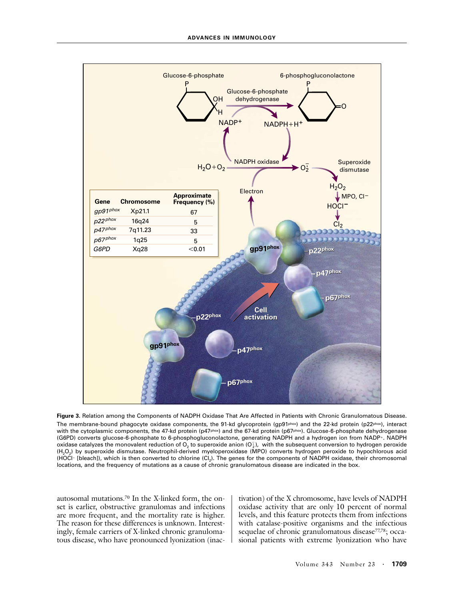

**Figure 3.** Relation among the Components of NADPH Oxidase That Are Affected in Patients with Chronic Granulomatous Disease. The membrane-bound phagocyte oxidase components, the 91-kd glycoprotein (gp91phox) and the 22-kd protein (p22phox), interact with the cytoplasmic components, the 47-kd protein (p47phox) and the 67-kd protein (p67phox). Glucose-6-phosphate dehydrogenase (G6PD) converts glucose-6-phosphate to 6-phosphogluconolactone, generating NADPH and a hydrogen ion from NADP+. NADPH oxidase catalyzes the monovalent reduction of O<sub>2</sub> to superoxide anion (O $_2^7$ ), with the subsequent conversion to hydrogen peroxide (H2O2) by superoxide dismutase. Neutrophil-derived myeloperoxidase (MPO) converts hydrogen peroxide to hypochlorous acid (HOCI- [bleach]), which is then converted to chlorine  $(CI_2)$ . The genes for the components of NADPH oxidase, their chromosomal locations, and the frequency of mutations as a cause of chronic granulomatous disease are indicated in the box.

autosomal mutations.70 In the X-linked form, the onset is earlier, obstructive granulomas and infections are more frequent, and the mortality rate is higher. The reason for these differences is unknown. Interestingly, female carriers of X-linked chronic granulomatous disease, who have pronounced lyonization (inactivation) of the X chromosome, have levels of NADPH oxidase activity that are only 10 percent of normal levels, and this feature protects them from infections with catalase-positive organisms and the infectious sequelae of chronic granulomatous disease<sup>77,78</sup>; occasional patients with extreme lyonization who have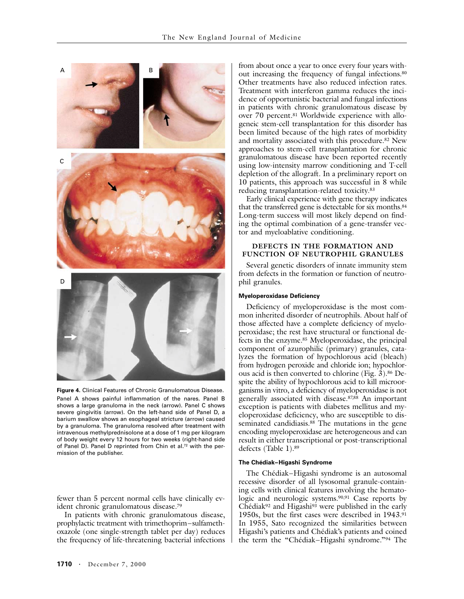

**Figure 4.** Clinical Features of Chronic Granulomatous Disease. Panel A shows painful inflammation of the nares. Panel B shows a large granuloma in the neck (arrow). Panel C shows severe gingivitis (arrow). On the left-hand side of Panel D, a barium swallow shows an esophageal stricture (arrow) caused by a granuloma. The granuloma resolved after treatment with intravenous methylprednisolone at a dose of 1 mg per kilogram of body weight every 12 hours for two weeks (right-hand side of Panel D). Panel D reprinted from Chin et al.<sup>72</sup> with the permission of the publisher.

fewer than 5 percent normal cells have clinically evident chronic granulomatous disease.79

In patients with chronic granulomatous disease, prophylactic treatment with trimethoprim–sulfamethoxazole (one single-strength tablet per day) reduces the frequency of life-threatening bacterial infections

from about once a year to once every four years without increasing the frequency of fungal infections.80 Other treatments have also reduced infection rates. Treatment with interferon gamma reduces the incidence of opportunistic bacterial and fungal infections in patients with chronic granulomatous disease by over 70 percent.<sup>81</sup> Worldwide experience with allogeneic stem-cell transplantation for this disorder has been limited because of the high rates of morbidity and mortality associated with this procedure.82 New approaches to stem-cell transplantation for chronic granulomatous disease have been reported recently using low-intensity marrow conditioning and T-cell depletion of the allograft. In a preliminary report on 10 patients, this approach was successful in 8 while reducing transplantation-related toxicity.83

Early clinical experience with gene therapy indicates that the transferred gene is detectable for six months.84 Long-term success will most likely depend on finding the optimal combination of a gene-transfer vector and myeloablative conditioning.

# **DEFECTS IN THE FORMATION AND FUNCTION OF NEUTROPHIL GRANULES**

Several genetic disorders of innate immunity stem from defects in the formation or function of neutrophil granules.

### **Myeloperoxidase Deficiency**

Deficiency of myeloperoxidase is the most common inherited disorder of neutrophils. About half of those affected have a complete deficiency of myeloperoxidase; the rest have structural or functional defects in the enzyme.85 Myeloperoxidase, the principal component of azurophilic (primary) granules, catalyzes the formation of hypochlorous acid (bleach) from hydrogen peroxide and chloride ion; hypochlorous acid is then converted to chlorine (Fig. 3).86 Despite the ability of hypochlorous acid to kill microorganisms in vitro, a deficiency of myeloperoxidase is not generally associated with disease.87,88 An important exception is patients with diabetes mellitus and myeloperoxidase deficiency, who are susceptible to disseminated candidiasis.<sup>88</sup> The mutations in the gene encoding myeloperoxidase are heterogeneous and can result in either transcriptional or post-transcriptional defects (Table 1).89

#### **The Chédiak–Higashi Syndrome**

The Chédiak–Higashi syndrome is an autosomal recessive disorder of all lysosomal granule-containing cells with clinical features involving the hematologic and neurologic systems.<sup>90,91</sup> Case reports by Chédiak<sup>92</sup> and Higashi<sup>93</sup> were published in the early 1950s, but the first cases were described in 1943.91 In 1955, Sato recognized the similarities between Higashi's patients and Chédiak's patients and coined the term the "Chédiak–Higashi syndrome."94 The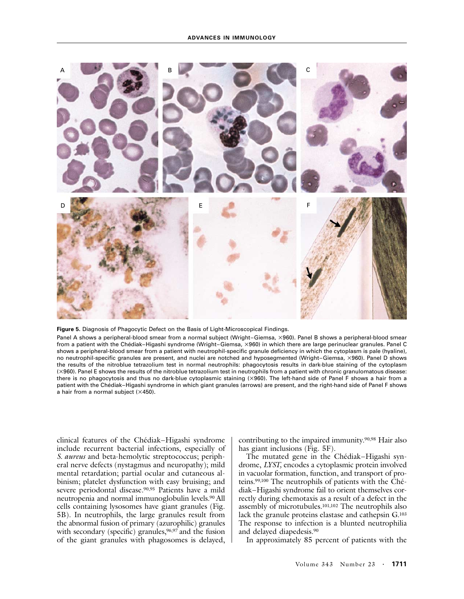



Panel A shows a peripheral-blood smear from a normal subject (Wright–Giemsa, ×960). Panel B shows a peripheral-blood smear from a patient with the Chédiak–Higashi syndrome (Wright–Giemsa, ×960) in which there are large perinuclear granules. Panel C shows a peripheral-blood smear from a patient with neutrophil-specific granule deficiency in which the cytoplasm is pale (hyaline), no neutrophil-specific granules are present, and nuclei are notched and hyposegmented (Wright–Giemsa, ×960). Panel D shows the results of the nitroblue tetrazolium test in normal neutrophils: phagocytosis results in dark-blue staining of the cytoplasm (×960). Panel E shows the results of the nitroblue tetrazolium test in neutrophils from a patient with chronic granulomatous disease: there is no phagocytosis and thus no dark-blue cytoplasmic staining (×960). The left-hand side of Panel F shows a hair from a patient with the Chédiak–Higashi syndrome in which giant granules (arrows) are present, and the right-hand side of Panel F shows a hair from a normal subject  $(x450)$ .

clinical features of the Chédiak–Higashi syndrome include recurrent bacterial infections, especially of *S. aureus* and beta-hemolytic streptococcus; peripheral nerve defects (nystagmus and neuropathy); mild mental retardation; partial ocular and cutaneous albinism; platelet dysfunction with easy bruising; and severe periodontal disease.90,95 Patients have a mild neutropenia and normal immunoglobulin levels.90 All cells containing lysosomes have giant granules (Fig. 5B). In neutrophils, the large granules result from the abnormal fusion of primary (azurophilic) granules with secondary (specific) granules,<sup>96,97</sup> and the fusion of the giant granules with phagosomes is delayed,

contributing to the impaired immunity.90,98 Hair also has giant inclusions (Fig. 5F).

The mutated gene in the Chédiak–Higashi syndrome, *LYST,* encodes a cytoplasmic protein involved in vacuolar formation, function, and transport of proteins.99,100 The neutrophils of patients with the Chédiak–Higashi syndrome fail to orient themselves correctly during chemotaxis as a result of a defect in the assembly of microtubules.101,102 The neutrophils also lack the granule proteins elastase and cathepsin G.103 The response to infection is a blunted neutrophilia and delayed diapedesis.90

In approximately 85 percent of patients with the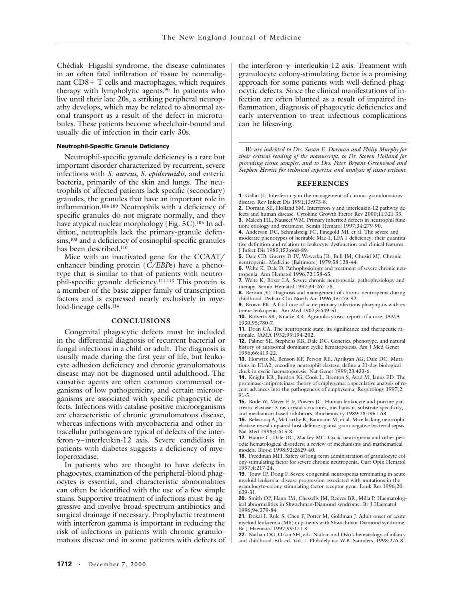Chédiak–Higashi syndrome, the disease culminates in an often fatal infiltration of tissue by nonmalignant CD8+ T cells and macrophages, which requires therapy with lympholytic agents.<sup>90</sup> In patients who live until their late 20s, a striking peripheral neuropathy develops, which may be related to abnormal axonal transport as a result of the defect in microtubules. These patients become wheelchair-bound and usually die of infection in their early 30s.

### **Neutrophil-Specific Granule Deficiency**

Neutrophil-specific granule deficiency is a rare but important disorder characterized by recurrent, severe infections with *S. aureus, S. epidermidis,* and enteric bacteria, primarily of the skin and lungs. The neutrophils of affected patients lack specific (secondary) granules, the granules that have an important role in inflammation.104-109 Neutrophils with a deficiency of specific granules do not migrate normally, and they have atypical nuclear morphology (Fig. 5C).<sup>105</sup> In addition, neutrophils lack the primary-granule defensins,<sup>103</sup> and a deficiency of eosinophil-specific granules has been described.110

Mice with an inactivated gene for the CCAAT/ enhancer binding protein (*C/EBPe*) have a phenotype that is similar to that of patients with neutrophil-specific granule deficiency.111-113 This protein is a member of the basic zipper family of transcription factors and is expressed nearly exclusively in myeloid-lineage cells. $114$ 

#### **CONCLUSIONS**

Congenital phagocytic defects must be included in the differential diagnosis of recurrent bacterial or fungal infections in a child or adult. The diagnosis is usually made during the first year of life, but leukocyte adhesion deficiency and chronic granulomatous disease may not be diagnosed until adulthood. The causative agents are often common commensal organisms of low pathogenicity, and certain microorganisms are associated with specific phagocytic defects. Infections with catalase-positive microorganisms are characteristic of chronic granulomatous disease, whereas infections with mycobacteria and other intracellular pathogens are typical of defects of the interferon-*g*–interleukin-12 axis. Severe candidiasis in patients with diabetes suggests a deficiency of myeloperoxidase.

In patients who are thought to have defects in phagocytes, examination of the peripheral-blood phagocytes is essential, and characteristic abnormalities can often be identified with the use of a few simple stains. Supportive treatment of infections must be aggressive and involve broad-spectrum antibiotics and surgical drainage if necessary. Prophylactic treatment with interferon gamma is important in reducing the risk of infections in patients with chronic granulomatous disease and in some patients with defects of

the interferon- $\gamma$ –interleukin-12 axis. Treatment with granulocyte colony-stimulating factor is a promising approach for some patients with well-defined phagocytic defects. Since the clinical manifestations of infection are often blunted as a result of impaired inflammation, diagnosis of phagocytic deficiencies and early intervention to treat infectious complications can be lifesaving.

*We are indebted to Drs. Susan E. Dorman and Philip Murphy for their critical reading of the manuscript, to Dr. Steven Holland for providing tissue samples, and to Drs. Peter Bryant-Greenwood and Stephen Hewitt for technical expertise and analysis of tissue sections.*

#### **REFERENCES**

**1.** Gallin JI. Interferon- $\gamma$  in the management of chronic granulomatous disease. Rev Infect Dis 1991;13:973-8.

**2.** Dorman SE, Holland SM. Interferon-*g* and interleukin-12 pathway defects and human disease. Cytokine Growth Factor Rev 2000;11:321-33. **3.** Malech HL, Nauseef WM. Primary inherited defects in neutrophil func-

tion: etiology and treatment. Semin Hematol 1997;34:279-90.

**4.** Anderson DC, Schmalsteig FC, Finegold MJ, et al. The severe and moderate phenotypes of heritable Mac-1, LFA-1 deficiency: their quantitative definition and relation to leukocyte dysfunction and clinical features. J Infect Dis 1985;152:668-89.

**5.** Dale CD, Guerry D IV, Wewerka JR, Bull JM, Chusid MJ. Chronic neutropenia. Medicine (Baltimore) 1979;58:128-44.

**6.** Welte K, Dale D. Pathophysiology and treatment of severe chronic neutropenia. Ann Hematol 1996;72:158-65.

**7.** Welte K, Boxer LA. Severe chronic neutropenia: pathophysiology and therapy. Semin Hematol 1997;34:267-78.

**8.** Bernini JC. Diagnosis and management of chronic neutropenia during childhood. Pediatr Clin North Am 1996;43:773-92.

**9.** Brown PK. A fatal case of acute primary infectious pharyngitis with extreme leukopenia. Am Med 1902;3:649-51.

**10.** Roberts SR, Kracke RR. Agranulocytosis: report of a case. JAMA 1930;95:780-7.

**11.** Doan CA. The neutropenic state: its significance and therapeutic rationale. JAMA 1932;99:194-202.

**12.** Palmer SE, Stephens KB, Dale DC. Genetics, phenotype, and natural history of autosomal dominant cyclic hematopoiesis. Am J Med Genet 1996;66:413-22.

**13.** Horwitz M, Benson KF, Person RE, Aprikyan AG, Dale DC. Mutations in ELA2, encoding neutrophil elastase, define a 21-day biological clock in cyclic haematopoiesis. Nat Genet 1999;23:433-6.

**14.** Knight KR, Burdon JG, Cook L, Brenton S, Ayad M, Janus ED. The proteinase-antiproteinase theory of emphysema: a speculative analysis of recent advances into the pathogenesis of emphysema. Respirology 1997;2: 91-5.

**15.** Bode W, Mayer E Jr, Powers JC. Human leukocyte and porcine pancreatic elastase: X-ray crystal structures, mechanism, substrate specificity, and mechanism-based inhibitors. Biochemistry 1989;28:1951-63.

**16.** Belaaouaj A, McCarthy R, Baumann M, et al. Mice lacking neutrophil elastase reveal impaired host defense against gram negative bacterial sepsis. Nat Med 1998;4:615-8.

**17.** Haurie C, Dale DC, Mackey MC. Cyclic neutropenia and other periodic hematological disorders: a review of mechanisms and mathematical models. Blood 1998;92:2629-40.

**18.** Freedman MH. Safety of long-term administration of granulocyte colony-stimulating factor for severe chronic neutropenia. Curr Opin Hematol 1997;4:217-24.

**19.** Touw IP, Dong F. Severe congenital neutropenia terminating in acute myeloid leukemia: disease progression associated with mutations in the granulocyte-colony stimulating factor receptor gene. Leuk Res 1996;20: 629-31.

**20.** Smith OP, Hann IM, Chessells JM, Reeves BR, Milla P. Haematological abnormalities in Shwachman-Diamond syndrome. Br J Haematol 1996;94:279-84.

**21.** Dokal I, Rule S, Chen F, Potter M, Goldman J. Adult onset of acute myeloid leukaemia (M6) in patients with Shwachman-Diamond syndrome. Br J Haematol 1997;99:171-3.

**22.** Nathan DG, Orkin SH, eds. Nathan and Oski's hematology of infancy and childhood. 5th ed. Vol. 1. Philadelphia: W.B. Saunders, 1998:276-8.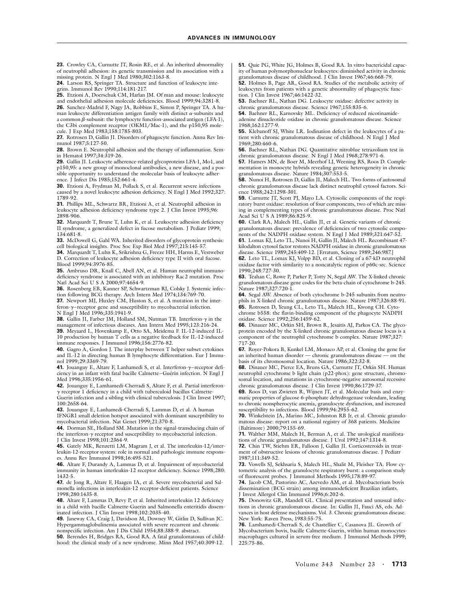**23.** Crowley CA, Curnutte JT, Rosin RE, et al. An inherited abnormality of neutrophil adhesion: its genetic transmission and its association with a missing protein. N Engl J Med 1980;302:1163-8.

**24.** Larson RS, Springer TA. Structure and function of leukocyte integrins. Immunol Rev 1990;114:181-217.

**25.** Etzioni A, Doerschuk CM, Harlan JM. Of man and mouse: leukocyte and endothelial adhesion molecule deficiencies. Blood 1999;94:3281-8.

**26.** Sanchez-Madrid F, Nagy JA, Robbins E, Simon P, Springer TA. A human leukocyte differentiation antigen family with distinct *a*-subunits and a common *b*-subunit: the lymphocyte function-associated antigen (LFA-1), the C3bi complement receptor (OKM1/Mac-1), and the p150,95 molecule. J Exp Med 1983;158:1785-803.

**27.** Rotrosen D, Gallin JI. Disorders of phagocyte function. Annu Rev Immunol 1987;5:127-50.

**28.** Brown E. Neutrophil adhesion and the therapy of inflammation. Semin Hematol 1997;34:319-26.

**29.** Gallin JI. Leukocyte adherence-related glycoproteins LFA-1, Mo1, and p150,95: a new group of monoclonal antibodies, a new disease, and a possible opportunity to understand the molecular basis of leukocyte adherence. J Infect Dis 1985;152:661-4.

**30.** Etzioni A, Frydman M, Pollack S, et al. Recurrent severe infections caused by a novel leukocyte adhesion deficiency. N Engl J Med 1992;327: 1789-92.

**31.** Phillips ML, Schwartz BR, Etzioni A, et al. Neutrophil adhesion in leukocyte adhesion deficiency syndrome type 2. J Clin Invest 1995;96: 2898-906.

**32.** Marquardt T, Brune T, Luhn K, et al. Leukocyte adhesion deficiency II syndrome, a generalized defect in fucose metabolism. J Pediatr 1999; 134:681-8.

**33.** McDowell G, Gahl WA. Inherited disorders of glycoprotein synthesis: cell biological insights. Proc Soc Exp Biol Med 1997;215:145-57.

**34.** Marquardt T, Luhn K, Srikrishna G, Freeze HH, Harms E, Vestweber D. Correction of leukocyte adhesion deficiency type II with oral fucose. Blood 1999;94:3976-85.

**35.** Ambruso DR, Knall C, Abell AN, et al. Human neutrophil immunodeficiency syndrome is associated with an inhibitory Rac2 mutation. Proc Natl Acad Sci U S A 2000;97:4654-9.

**36.** Rosenberg EB, Kanner SP, Schwartzman RJ, Colsky J. Systemic infection following BCG therapy. Arch Intern Med 1974;134:769-70.

**37.** Newport MJ, Huxley CM, Huston S, et al. A mutation in the interferon-*g*–receptor gene and susceptibility to mycobacterial infection. N Engl J Med 1996;335:1941-9.

**38.** Gallin JI, Farber JM, Holland SM, Nutman TB. Interferon-*g* in the management of infectious diseases. Ann Intern Med 1995;123:216-24.

**39.** Meyaard L, Hovenkamp E, Otto SA, Meidema F. IL-12-induced IL-10 production by human T cells as a negative feedback for IL-12-induced immune responses. J Immunol 1996;156:2776-82.

**40.** Gagro A, Gordon J. The interplay between T helper subset cytokines and IL-12 in directing human B lymphocyte differentiation. Eur J Immunol 1999;29:3369-79.

**41.** Jouanguy E, Altare F, Lanhamedi S, et al. Interferon-*g*–receptor deficiency in an infant with fatal bacille Calmette–Guérin infection. N Engl J Med 1996;335:1956-61.

**42.** Jouanguy E, Lamhamedi-Cherradi S, Altare F, et al. Partial interferon*g* receptor 1 deficiency in a child with tuberculoid bacillus Calmette-Guerin infection and a sibling with clinical tuberculosis. J Clin Invest 1997; 100:2658-64.

**43.** Jouanguy E, Lanhamedi-Cherradi S, Lammas D, et al. A human IFNGR1 small deletion hotspot associated with dominant susceptibility to mycobacterial infection. Nat Genet 1999;21:370-8.

**44.** Dorman SE, Holland SM. Mutation in the signal-transducing chain of the interferon-*g* receptor and susceptibility to mycobacterial infection. J Clin Invest 1998;101:2364-9.

**45.** Gately MK, Renzetti LM, Magram J, et al. The interleukin-12/interleukin-12-receptor system: role in normal and pathologic immune responses. Annu Rev Immunol 1998;16:495-521.

**46.** Altare F, Durandy A, Lammas D, et al. Impairment of mycobacterial immunity in human interleukin-12 receptor deficiency. Science 1998;280: 1432-5.

**47.** de Jong R, Altare F, Haagen IA, et al. Severe mycobacterial and Salmonella infections in interleukin-12 receptor-deficient patients. Science 1998;280:1435-8.

**48.** Altare F, Lammas D, Revy P, et al. Inherited interleukin 12 deficiency in a child with bacille Calmette-Guerin and Salmonella enteritidis disseminated infection. J Clin Invest 1998;102:2035-40.

**49.** Janeway CA, Craig J, Davidson M, Downey W, Gitlin D, Sullivan JC. Hypergammaglobulinemia associated with severe recurrent and chronic nonspecific infection. Am J Dis Child 1954;88:388-9. abstract.

**50.** Berendes H, Bridges RA, Good RA. A fatal granulomatosus of childhood: the clinical study of a new syndrome. Minn Med 1957;40:309-12.

**51.** Quie PG, White JG, Holmes B, Good RA. In vitro bactericidal capacity of human polymorphonuclear leukocytes: diminished activity in chronic granulomatous disease of childhood. J Clin Invest 1967;46:668-79.

**52.** Holmes B, Page AR, Good RA. Studies of the metabolic activity of leukocytes from patients with a genetic abnormality of phagocytic function. J Clin Invest 1967;46:1422-32.

**53.** Baehner RL, Nathan DG. Leukocyte oxidase: defective activity in chronic granulomatous disease. Science 1967;155:835-6.

**54.** Baehner RL, Karnovsky ML. Deficiency of reduced nicotinamideadenine dinucleotide oxidase in chronic granulomatous disease. Science 1968;162:1277-9.

**55.** Klebanoff SJ, White LR. Iodination defect in the leukocytes of a patient with chronic granulomatous disease of childhood. N Engl J Med 1969;280:460-6.

**56.** Baehner RL, Nathan DG. Quantitative nitroblue tetrazolium test in chronic granulomatous disease. N Engl J Med 1968;278:971-6.

**57.** Hamers MN, de Boer M, Meerhof LJ, Weening RS, Roos D. Complementation in monocyte hybrids revealing genetic heterogeneity in chronic granulomatous disease. Nature 1984;307:553-5.

**58.** Nunoi H, Rotrosen D, Gallin JI, Malech HL. Two forms of autosomal chronic granulomatous disease lack distinct neutrophil cytosol factors. Science 1988;242:1298-301.

**59.** Curnutte JT, Scott PJ, Mayo LA. Cytosolic components of the respiratory burst oxidase: resolution of four components, two of which are missing in complementing types of chronic granulomatous disease. Proc Natl Acad Sci U S A 1989;86:825-9.

**60.** Clark RA, Malech HL, Gallin JI, et al. Genetic variants of chronic granulomatous disease: prevalence of deficiencies of two cytosolic components of the NADPH oxidase system. N Engl J Med 1989;321:647-52.

**61.** Lomax KJ, Leto TL, Nunoi H, Gallin JI, Malech HL. Recombinant 47 kilodalton cytosol factor restores NADPH oxidase in chronic granulomatous disease. Science 1989;245:409-12. [Erratum, Science 1989;246:987.]

**62.** Leto TL, Lomax KJ, Volpp BD, et al. Cloning of a 67-kD neutrophil oxidase factor with similarity to a noncatalytic region of p60c-src. Science 1990;248:727-30.

**63.** Teahan C, Rowe P, Parker P, Totty N, Segal AW. The X-linked chronic granulomatous disease gene codes for the beta-chain of cytochrome b-245. Nature 1987;327:720-1.

**64.** Segal AW. Absence of both cytochrome b-245 subunits from neutrophils in X-linked chronic granulomatous disease. Nature 1987;326:88-91. **65.** Rotrosen D, Yeung CL, Leto TL, Malech HL, Kwong CH. Cyto-

chrome b558: the flavin-binding component of the phagocyte NADPH oxidase. Science 1992;256:1459-62.

**66.** Dinauer MC, Orkin SH, Brown R, Jesaitis AJ, Parkos CA. The glycoprotein encoded by the X-linked chronic granulomatous disease locus is a component of the neutrophil cytochrome b complex. Nature 1987;327: 717-20.

**67.** Royer-Pokora B, Kunkel LM, Monaco AP, et al. Cloning the gene for an inherited human disorder — chronic granulomatous disease — on the basis of its chromosomal location. Nature 1986;322:32-8.

**68.** Dinauer MC, Pierce EA, Bruns GA, Curnutte JT, Orkin SH. Human neutrophil cytochrome b light chain (p22-phox): gene structure, chromosomal location, and mutations in cytochrome-negative autosomal recessive chronic granulomatous disease. J Clin Invest 1990;86:1729-37.

**69.** Roos D, van Zwieten R, Wijnen JT, et al. Molecular basis and enzymatic properties of glucose 6-phosphate dehydrogenase volendam, leading to chronic nonspherocytic anemia, granulocyte dysfunction, and increased susceptibility to infections. Blood 1999;94:2955-62.

**70.** Winkelstein JA, Marino MC, Johnston RB Jr, et al. Chronic granulomatous disease: report on a national registry of 368 patients. Medicine (Baltimore) 2000;79:155-69.

**71.** Walther MM, Malech H, Berman A, et al. The urological manifestations of chronic granulomatous disease. J Urol 1992;147:1314-8.

**72.** Chin TW, Stiehm ER, Falloon J, Gallin JI. Corticosteroids in treatment of obstructive lesions of chronic granulomatous disease. J Pediatr 1987;111:349-52.

**73.** Vowells SJ, Sekhsaria S, Malech HL, Shalit M, Fleisher TA. Flow cytometric analysis of the granulocyte respiratory burst: a comparison study of fluorescent probes. J Immunol Methods 1995;178:89-97.

**74.** Jacob CM, Pastorino AC, Azevedo AM, et al. Mycobacterium bovis dissemination (BCG strain) among immunodeficient Brazilian infants. J Invest Allergol Clin Immunol 1996;6:202-6.

**75.** Donowitz GR, Mandell GL. Clinical presentation and unusual infections in chronic granulomatous disease. In: Gallin JI, Fauci AS, eds. Advances in host defense mechanisms. Vol. 3. Chronic granulomatous disease. New York: Raven Press, 1983:55-75.

**76.** Lamhamedi-Cherradi S, de Chastellier C, Casanova JL. Growth of Mycobacterium bovis, bacille Calmette-Guerin, within human monocytesmacrophages cultured in serum-free medium. J Immunol Methods 1999; 225:75-86.